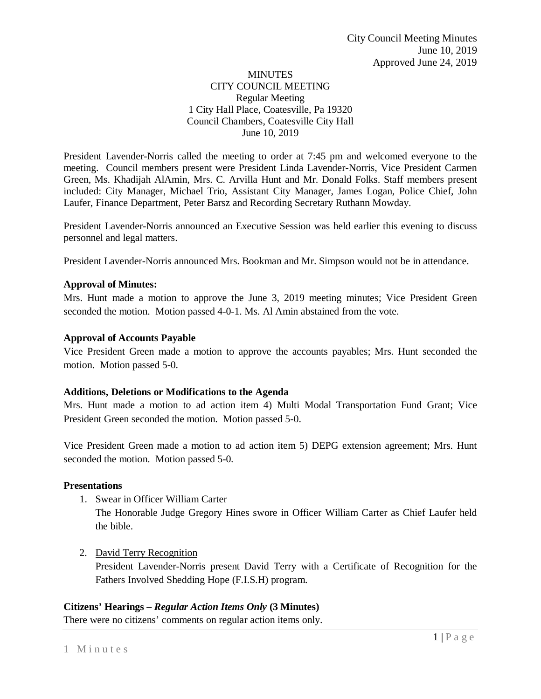## MINUTES CITY COUNCIL MEETING Regular Meeting 1 City Hall Place, Coatesville, Pa 19320 Council Chambers, Coatesville City Hall June 10, 2019

President Lavender-Norris called the meeting to order at 7:45 pm and welcomed everyone to the meeting. Council members present were President Linda Lavender-Norris, Vice President Carmen Green, Ms. Khadijah AlAmin, Mrs. C. Arvilla Hunt and Mr. Donald Folks. Staff members present included: City Manager, Michael Trio, Assistant City Manager, James Logan, Police Chief, John Laufer, Finance Department, Peter Barsz and Recording Secretary Ruthann Mowday.

President Lavender-Norris announced an Executive Session was held earlier this evening to discuss personnel and legal matters.

President Lavender-Norris announced Mrs. Bookman and Mr. Simpson would not be in attendance.

### **Approval of Minutes:**

Mrs. Hunt made a motion to approve the June 3, 2019 meeting minutes; Vice President Green seconded the motion. Motion passed 4-0-1. Ms. Al Amin abstained from the vote.

### **Approval of Accounts Payable**

Vice President Green made a motion to approve the accounts payables; Mrs. Hunt seconded the motion. Motion passed 5-0.

### **Additions, Deletions or Modifications to the Agenda**

Mrs. Hunt made a motion to ad action item 4) Multi Modal Transportation Fund Grant; Vice President Green seconded the motion. Motion passed 5-0.

Vice President Green made a motion to ad action item 5) DEPG extension agreement; Mrs. Hunt seconded the motion. Motion passed 5-0.

### **Presentations**

1. Swear in Officer William Carter

The Honorable Judge Gregory Hines swore in Officer William Carter as Chief Laufer held the bible.

2. David Terry Recognition

President Lavender-Norris present David Terry with a Certificate of Recognition for the Fathers Involved Shedding Hope (F.I.S.H) program.

# **Citizens' Hearings –** *Regular Action Items Only* **(3 Minutes)**

There were no citizens' comments on regular action items only.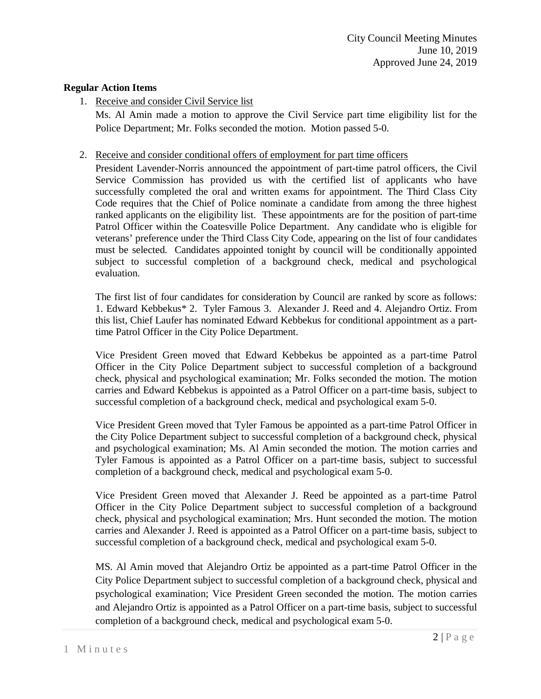## **Regular Action Items**

1. Receive and consider Civil Service list

Ms. Al Amin made a motion to approve the Civil Service part time eligibility list for the Police Department; Mr. Folks seconded the motion. Motion passed 5-0.

## 2. Receive and consider conditional offers of employment for part time officers

President Lavender-Norris announced the appointment of part-time patrol officers, the Civil Service Commission has provided us with the certified list of applicants who have successfully completed the oral and written exams for appointment. The Third Class City Code requires that the Chief of Police nominate a candidate from among the three highest ranked applicants on the eligibility list. These appointments are for the position of part-time Patrol Officer within the Coatesville Police Department. Any candidate who is eligible for veterans' preference under the Third Class City Code, appearing on the list of four candidates must be selected. Candidates appointed tonight by council will be conditionally appointed subject to successful completion of a background check, medical and psychological evaluation.

The first list of four candidates for consideration by Council are ranked by score as follows: 1. Edward Kebbekus\* 2. Tyler Famous 3. Alexander J. Reed and 4. Alejandro Ortiz. From this list, Chief Laufer has nominated Edward Kebbekus for conditional appointment as a parttime Patrol Officer in the City Police Department.

Vice President Green moved that Edward Kebbekus be appointed as a part-time Patrol Officer in the City Police Department subject to successful completion of a background check, physical and psychological examination; Mr. Folks seconded the motion. The motion carries and Edward Kebbekus is appointed as a Patrol Officer on a part-time basis, subject to successful completion of a background check, medical and psychological exam 5-0.

Vice President Green moved that Tyler Famous be appointed as a part-time Patrol Officer in the City Police Department subject to successful completion of a background check, physical and psychological examination; Ms. Al Amin seconded the motion. The motion carries and Tyler Famous is appointed as a Patrol Officer on a part-time basis, subject to successful completion of a background check, medical and psychological exam 5-0.

Vice President Green moved that Alexander J. Reed be appointed as a part-time Patrol Officer in the City Police Department subject to successful completion of a background check, physical and psychological examination; Mrs. Hunt seconded the motion. The motion carries and Alexander J. Reed is appointed as a Patrol Officer on a part-time basis, subject to successful completion of a background check, medical and psychological exam 5-0.

MS. Al Amin moved that Alejandro Ortiz be appointed as a part-time Patrol Officer in the City Police Department subject to successful completion of a background check, physical and psychological examination; Vice President Green seconded the motion. The motion carries and Alejandro Ortiz is appointed as a Patrol Officer on a part-time basis, subject to successful completion of a background check, medical and psychological exam 5-0.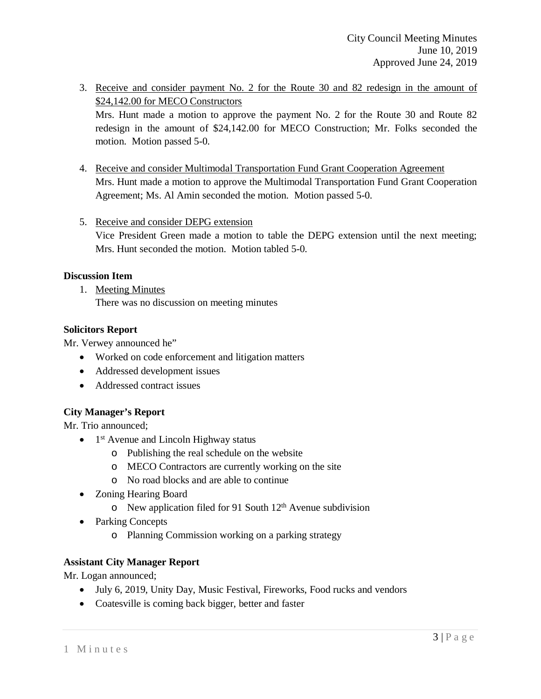- 3. Receive and consider payment No. 2 for the Route 30 and 82 redesign in the amount of \$24,142.00 for MECO Constructors Mrs. Hunt made a motion to approve the payment No. 2 for the Route 30 and Route 82 redesign in the amount of \$24,142.00 for MECO Construction; Mr. Folks seconded the motion. Motion passed 5-0.
- 4. Receive and consider Multimodal Transportation Fund Grant Cooperation Agreement Mrs. Hunt made a motion to approve the Multimodal Transportation Fund Grant Cooperation Agreement; Ms. Al Amin seconded the motion. Motion passed 5-0.
- 5. Receive and consider DEPG extension

Vice President Green made a motion to table the DEPG extension until the next meeting; Mrs. Hunt seconded the motion. Motion tabled 5-0.

### **Discussion Item**

1. Meeting Minutes

There was no discussion on meeting minutes

### **Solicitors Report**

Mr. Verwey announced he"

- Worked on code enforcement and litigation matters
- Addressed development issues
- Addressed contract issues

# **City Manager's Report**

Mr. Trio announced;

- $\bullet$  1<sup>st</sup> Avenue and Lincoln Highway status
	- o Publishing the real schedule on the website
	- o MECO Contractors are currently working on the site
	- o No road blocks and are able to continue
- Zoning Hearing Board
	- $\circ$  New application filed for 91 South 12<sup>th</sup> Avenue subdivision
- Parking Concepts
	- o Planning Commission working on a parking strategy

# **Assistant City Manager Report**

Mr. Logan announced;

- July 6, 2019, Unity Day, Music Festival, Fireworks, Food rucks and vendors
- Coatesville is coming back bigger, better and faster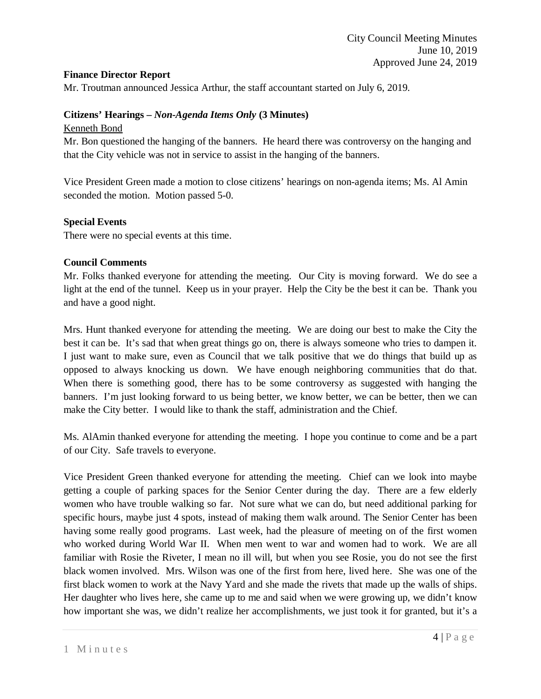## **Finance Director Report**

Mr. Troutman announced Jessica Arthur, the staff accountant started on July 6, 2019.

## **Citizens' Hearings –** *Non-Agenda Items Only* **(3 Minutes)**

### Kenneth Bond

Mr. Bon questioned the hanging of the banners. He heard there was controversy on the hanging and that the City vehicle was not in service to assist in the hanging of the banners.

Vice President Green made a motion to close citizens' hearings on non-agenda items; Ms. Al Amin seconded the motion. Motion passed 5-0.

### **Special Events**

There were no special events at this time.

### **Council Comments**

Mr. Folks thanked everyone for attending the meeting. Our City is moving forward. We do see a light at the end of the tunnel. Keep us in your prayer. Help the City be the best it can be. Thank you and have a good night.

Mrs. Hunt thanked everyone for attending the meeting. We are doing our best to make the City the best it can be. It's sad that when great things go on, there is always someone who tries to dampen it. I just want to make sure, even as Council that we talk positive that we do things that build up as opposed to always knocking us down. We have enough neighboring communities that do that. When there is something good, there has to be some controversy as suggested with hanging the banners. I'm just looking forward to us being better, we know better, we can be better, then we can make the City better. I would like to thank the staff, administration and the Chief.

Ms. AlAmin thanked everyone for attending the meeting. I hope you continue to come and be a part of our City. Safe travels to everyone.

Vice President Green thanked everyone for attending the meeting. Chief can we look into maybe getting a couple of parking spaces for the Senior Center during the day. There are a few elderly women who have trouble walking so far. Not sure what we can do, but need additional parking for specific hours, maybe just 4 spots, instead of making them walk around. The Senior Center has been having some really good programs. Last week, had the pleasure of meeting on of the first women who worked during World War II. When men went to war and women had to work. We are all familiar with Rosie the Riveter, I mean no ill will, but when you see Rosie, you do not see the first black women involved. Mrs. Wilson was one of the first from here, lived here. She was one of the first black women to work at the Navy Yard and she made the rivets that made up the walls of ships. Her daughter who lives here, she came up to me and said when we were growing up, we didn't know how important she was, we didn't realize her accomplishments, we just took it for granted, but it's a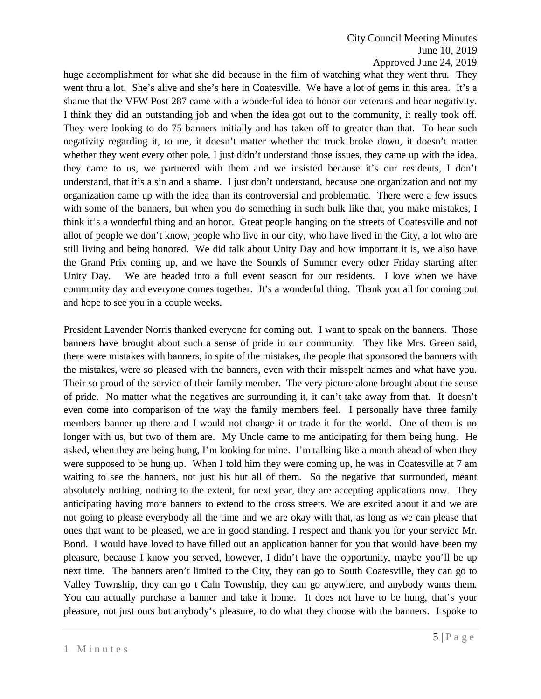## City Council Meeting Minutes June 10, 2019 Approved June 24, 2019

huge accomplishment for what she did because in the film of watching what they went thru. They went thru a lot. She's alive and she's here in Coatesville. We have a lot of gems in this area. It's a shame that the VFW Post 287 came with a wonderful idea to honor our veterans and hear negativity. I think they did an outstanding job and when the idea got out to the community, it really took off. They were looking to do 75 banners initially and has taken off to greater than that. To hear such negativity regarding it, to me, it doesn't matter whether the truck broke down, it doesn't matter whether they went every other pole, I just didn't understand those issues, they came up with the idea, they came to us, we partnered with them and we insisted because it's our residents, I don't understand, that it's a sin and a shame. I just don't understand, because one organization and not my organization came up with the idea than its controversial and problematic. There were a few issues with some of the banners, but when you do something in such bulk like that, you make mistakes, I think it's a wonderful thing and an honor. Great people hanging on the streets of Coatesville and not allot of people we don't know, people who live in our city, who have lived in the City, a lot who are still living and being honored. We did talk about Unity Day and how important it is, we also have the Grand Prix coming up, and we have the Sounds of Summer every other Friday starting after Unity Day. We are headed into a full event season for our residents. I love when we have community day and everyone comes together. It's a wonderful thing. Thank you all for coming out and hope to see you in a couple weeks.

President Lavender Norris thanked everyone for coming out. I want to speak on the banners. Those banners have brought about such a sense of pride in our community. They like Mrs. Green said, there were mistakes with banners, in spite of the mistakes, the people that sponsored the banners with the mistakes, were so pleased with the banners, even with their misspelt names and what have you. Their so proud of the service of their family member. The very picture alone brought about the sense of pride. No matter what the negatives are surrounding it, it can't take away from that. It doesn't even come into comparison of the way the family members feel. I personally have three family members banner up there and I would not change it or trade it for the world. One of them is no longer with us, but two of them are. My Uncle came to me anticipating for them being hung. He asked, when they are being hung, I'm looking for mine. I'm talking like a month ahead of when they were supposed to be hung up. When I told him they were coming up, he was in Coatesville at 7 am waiting to see the banners, not just his but all of them. So the negative that surrounded, meant absolutely nothing, nothing to the extent, for next year, they are accepting applications now. They anticipating having more banners to extend to the cross streets. We are excited about it and we are not going to please everybody all the time and we are okay with that, as long as we can please that ones that want to be pleased, we are in good standing. I respect and thank you for your service Mr. Bond. I would have loved to have filled out an application banner for you that would have been my pleasure, because I know you served, however, I didn't have the opportunity, maybe you'll be up next time. The banners aren't limited to the City, they can go to South Coatesville, they can go to Valley Township, they can go t Caln Township, they can go anywhere, and anybody wants them. You can actually purchase a banner and take it home. It does not have to be hung, that's your pleasure, not just ours but anybody's pleasure, to do what they choose with the banners. I spoke to